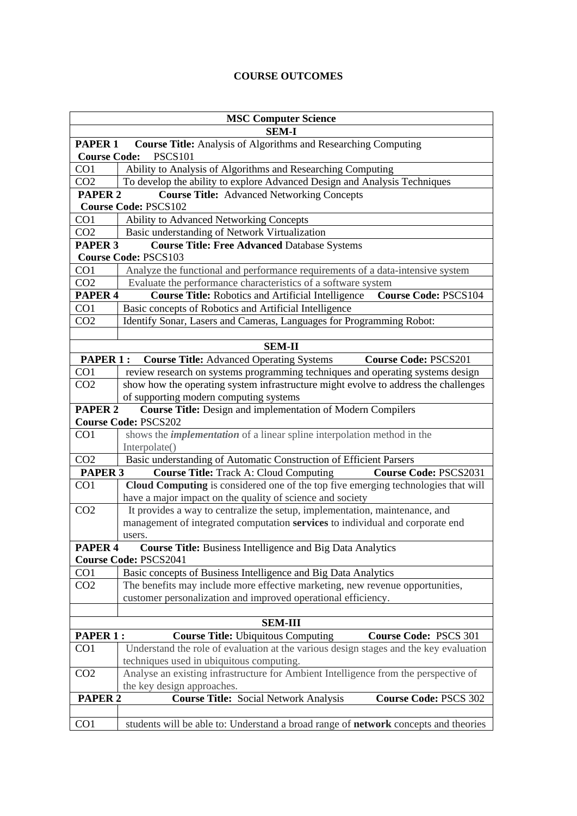## **COURSE OUTCOMES**

| <b>MSC Computer Science</b>                                                                                               |                                                                                          |  |
|---------------------------------------------------------------------------------------------------------------------------|------------------------------------------------------------------------------------------|--|
| <b>SEM-I</b>                                                                                                              |                                                                                          |  |
| <b>Course Title:</b> Analysis of Algorithms and Researching Computing<br>PAPER 1<br><b>PSCS101</b><br><b>Course Code:</b> |                                                                                          |  |
| CO <sub>1</sub>                                                                                                           | Ability to Analysis of Algorithms and Researching Computing                              |  |
| CO <sub>2</sub>                                                                                                           | To develop the ability to explore Advanced Design and Analysis Techniques                |  |
| PAPER <sub>2</sub>                                                                                                        | <b>Course Title:</b> Advanced Networking Concepts                                        |  |
| <b>Course Code: PSCS102</b>                                                                                               |                                                                                          |  |
| CO1                                                                                                                       | <b>Ability to Advanced Networking Concepts</b>                                           |  |
| CO <sub>2</sub>                                                                                                           | Basic understanding of Network Virtualization                                            |  |
| PAPER <sub>3</sub><br><b>Course Title: Free Advanced Database Systems</b>                                                 |                                                                                          |  |
| <b>Course Code: PSCS103</b>                                                                                               |                                                                                          |  |
| CO1                                                                                                                       | Analyze the functional and performance requirements of a data-intensive system           |  |
| CO <sub>2</sub>                                                                                                           | Evaluate the performance characteristics of a software system                            |  |
| PAPER <sub>4</sub>                                                                                                        | <b>Course Title:</b> Robotics and Artificial Intelligence<br><b>Course Code: PSCS104</b> |  |
| CO1                                                                                                                       | Basic concepts of Robotics and Artificial Intelligence                                   |  |
| CO <sub>2</sub>                                                                                                           | Identify Sonar, Lasers and Cameras, Languages for Programming Robot:                     |  |
|                                                                                                                           |                                                                                          |  |
| <b>SEM-II</b>                                                                                                             |                                                                                          |  |
| <b>PAPER 1:</b>                                                                                                           | <b>Course Title:</b> Advanced Operating Systems<br><b>Course Code: PSCS201</b>           |  |
| CO <sub>1</sub>                                                                                                           | review research on systems programming techniques and operating systems design           |  |
| CO <sub>2</sub>                                                                                                           | show how the operating system infrastructure might evolve to address the challenges      |  |
|                                                                                                                           | of supporting modern computing systems                                                   |  |
| PAPER <sub>2</sub>                                                                                                        | <b>Course Title:</b> Design and implementation of Modern Compilers                       |  |
| <b>Course Code: PSCS202</b>                                                                                               |                                                                                          |  |
| CO <sub>1</sub>                                                                                                           | shows the <i>implementation</i> of a linear spline interpolation method in the           |  |
|                                                                                                                           | Interpolate()                                                                            |  |
| CO <sub>2</sub>                                                                                                           | Basic understanding of Automatic Construction of Efficient Parsers                       |  |
| PAPER <sub>3</sub>                                                                                                        | <b>Course Title: Track A: Cloud Computing</b><br><b>Course Code: PSCS2031</b>            |  |
| CO <sub>1</sub>                                                                                                           | Cloud Computing is considered one of the top five emerging technologies that will        |  |
|                                                                                                                           | have a major impact on the quality of science and society                                |  |
| CO <sub>2</sub>                                                                                                           | It provides a way to centralize the setup, implementation, maintenance, and              |  |
|                                                                                                                           | management of integrated computation services to individual and corporate end            |  |
|                                                                                                                           | users.                                                                                   |  |
| PAPER <sub>4</sub><br><b>Course Title:</b> Business Intelligence and Big Data Analytics                                   |                                                                                          |  |
| <b>Course Code: PSCS2041</b>                                                                                              |                                                                                          |  |
| CO <sub>1</sub>                                                                                                           | Basic concepts of Business Intelligence and Big Data Analytics                           |  |
| CO <sub>2</sub>                                                                                                           | The benefits may include more effective marketing, new revenue opportunities,            |  |
|                                                                                                                           | customer personalization and improved operational efficiency.                            |  |
|                                                                                                                           |                                                                                          |  |
| <b>SEM-III</b>                                                                                                            |                                                                                          |  |
| <b>PAPER 1:</b>                                                                                                           | <b>Course Title: Ubiquitous Computing</b><br><b>Course Code: PSCS 301</b>                |  |
| CO <sub>1</sub>                                                                                                           | Understand the role of evaluation at the various design stages and the key evaluation    |  |
|                                                                                                                           | techniques used in ubiquitous computing.                                                 |  |
| CO <sub>2</sub>                                                                                                           | Analyse an existing infrastructure for Ambient Intelligence from the perspective of      |  |
|                                                                                                                           | the key design approaches.                                                               |  |
| <b>PAPER 2</b>                                                                                                            | <b>Course Title: Social Network Analysis</b><br><b>Course Code: PSCS 302</b>             |  |
|                                                                                                                           |                                                                                          |  |
| CO <sub>1</sub>                                                                                                           | students will be able to: Understand a broad range of network concepts and theories      |  |